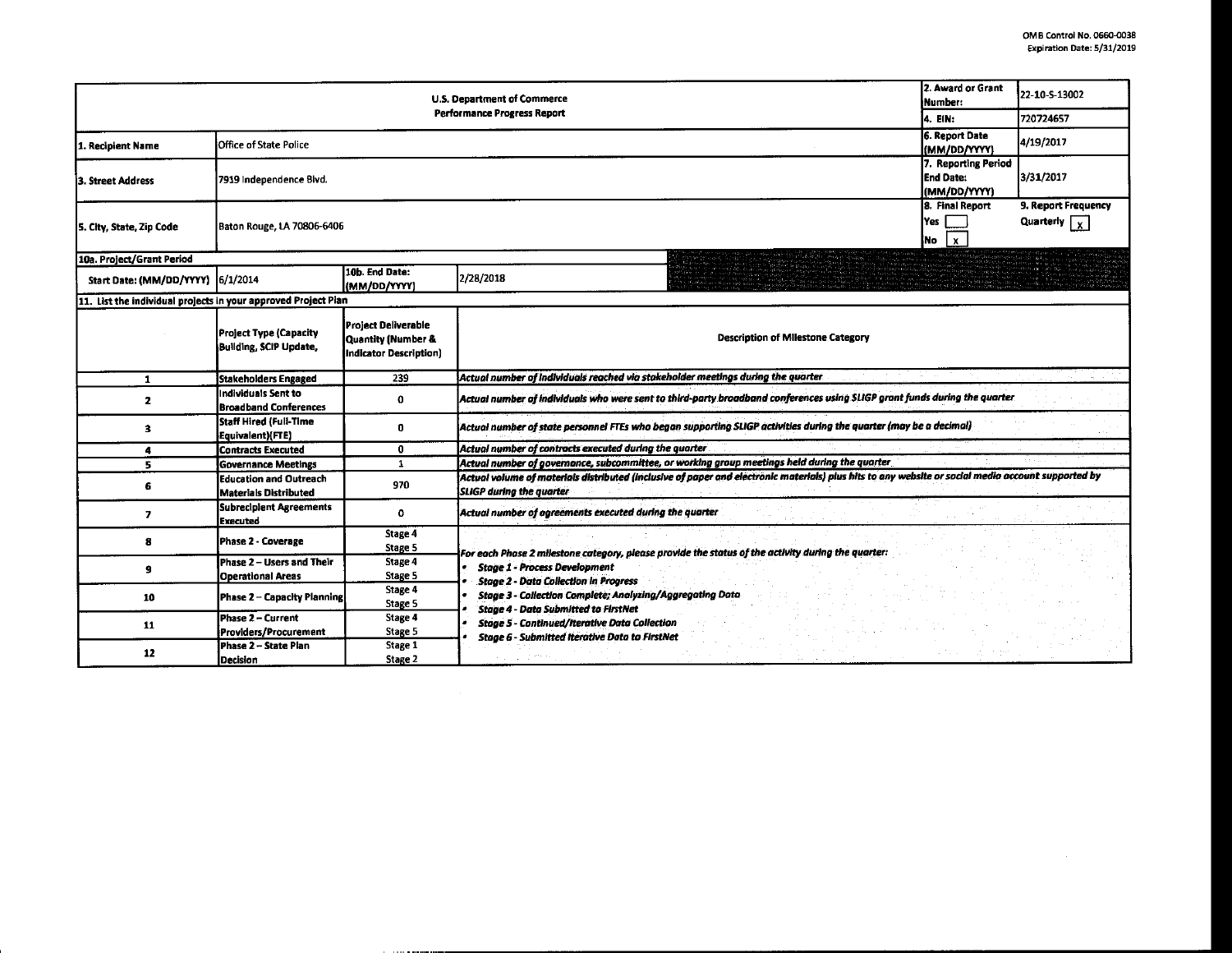| 2. Award or Grant<br><b>U.S. Department of Commerce</b><br>Number:<br><b>Performance Progress Report</b><br>14. EIN: |                                                                |                                                                     |                                                                                                                                                                                       |                                | 22-10-S-13002                               |
|----------------------------------------------------------------------------------------------------------------------|----------------------------------------------------------------|---------------------------------------------------------------------|---------------------------------------------------------------------------------------------------------------------------------------------------------------------------------------|--------------------------------|---------------------------------------------|
|                                                                                                                      |                                                                |                                                                     |                                                                                                                                                                                       |                                | 720724657                                   |
| 1. Recipient Name                                                                                                    | <b>Office of State Police</b>                                  |                                                                     |                                                                                                                                                                                       | 6. Report Date<br>(MM/DD/YYYY) | 4/19/2017                                   |
| 3. Street Address                                                                                                    | 7919 Independence Bivd.                                        | 7. Reporting Period<br><b>End Date:</b><br>(MM/DD/YYYY)             | 3/31/2017                                                                                                                                                                             |                                |                                             |
| 5. City, State, Zip Code                                                                                             | Baton Rouge, LA 70806-6406                                     |                                                                     |                                                                                                                                                                                       |                                | 9. Report Frequency<br>Quarterly $\sqrt{x}$ |
| 10a. Project/Grant Period                                                                                            |                                                                |                                                                     |                                                                                                                                                                                       |                                |                                             |
| Start Date: (MM/DD/YYYY)                                                                                             | 6/1/2014                                                       | 10b. End Date:<br>(MM/DD/YYYY)                                      | 2/28/2018                                                                                                                                                                             |                                |                                             |
| 11. List the individual projects in your approved Project Plan                                                       |                                                                |                                                                     |                                                                                                                                                                                       |                                |                                             |
|                                                                                                                      | <b>Project Type (Capacity</b><br><b>Building, SCIP Update,</b> | Project Deliverable<br>Quantity (Number &<br>Indicator Description) | <b>Description of Milestone Category</b>                                                                                                                                              |                                |                                             |
| 1                                                                                                                    | <b>Stakeholders Engaged</b>                                    | 239                                                                 | Actual number of individuals reached via stakeholder meetings during the quarter                                                                                                      |                                |                                             |
| $\mathbf{z}$                                                                                                         | Individuals Sent to<br><b>Broadband Conferences</b>            | $\mathbf{0}$                                                        | Actual number of individuals who were sent to third-party broadband conferences using SLIGP grant funds during the quarter                                                            |                                |                                             |
| 3                                                                                                                    | Staff Hired (Full-Time<br>Equivalent)(FTE)                     | $\mathbf{0}$                                                        | Actual number of state personnel FTEs who began supporting SLIGP activities during the quarter (may be a decimal)                                                                     |                                |                                             |
| 4                                                                                                                    | Contracts Executed                                             | $\mathbf{0}$                                                        | Actual number of contracts executed during the quarter                                                                                                                                |                                |                                             |
| 5                                                                                                                    | <b>Governance Meetings</b>                                     | $\mathbf{1}$                                                        | Actual number of governance, subcommittee, or working group meetings held during the quarter                                                                                          |                                |                                             |
| 6                                                                                                                    | <b>Education and Outreach</b><br><b>Materials Distributed</b>  | 970                                                                 | Actual volume of materials distributed (inclusive of paper and electronic materials) plus hits to any website or social medio account supported by<br><b>SLIGP during the quarter</b> |                                |                                             |
| $\overline{\mathbf{z}}$                                                                                              | <b>Subrecipient Agreements</b><br><b>Executed</b>              | 0                                                                   | Actual number of ogreements executed during the quarter                                                                                                                               |                                |                                             |
| 8                                                                                                                    | Phase 2 - Coverage                                             | Stage 4<br>Stage 5                                                  | For each Phase 2 milestone category, please provide the status of the activity during the quarter:                                                                                    |                                |                                             |
| 9                                                                                                                    | Phase 2 - Users and Their<br><b>Operational Areas</b>          | Stage 4<br>Stage 5                                                  | <b>Stage 1 - Process Development</b><br><b>Stage 2 - Data Collection in Progress</b>                                                                                                  |                                |                                             |
| 10                                                                                                                   | <b>Phase 2 - Capacity Planning</b>                             | Stage 4<br>Stage 5                                                  | Stage 3 - Collection Complete; Analyzing/Aggregating Data<br><b>Stage 4 - Data Submitted to FirstNet</b>                                                                              |                                |                                             |
| 11                                                                                                                   | Phase 2 - Current<br>Providers/Procurement                     | Stage 4<br>Stage 5                                                  | <b>Stage 5 - Continued/Iterative Data Collection</b>                                                                                                                                  |                                |                                             |
| 12                                                                                                                   | Phase 2 - State Plan<br><b>Decision</b>                        | Stage 1<br>Stage 2                                                  | <b>Stage 6 - Submitted Iterative Data to FirstNet</b>                                                                                                                                 |                                |                                             |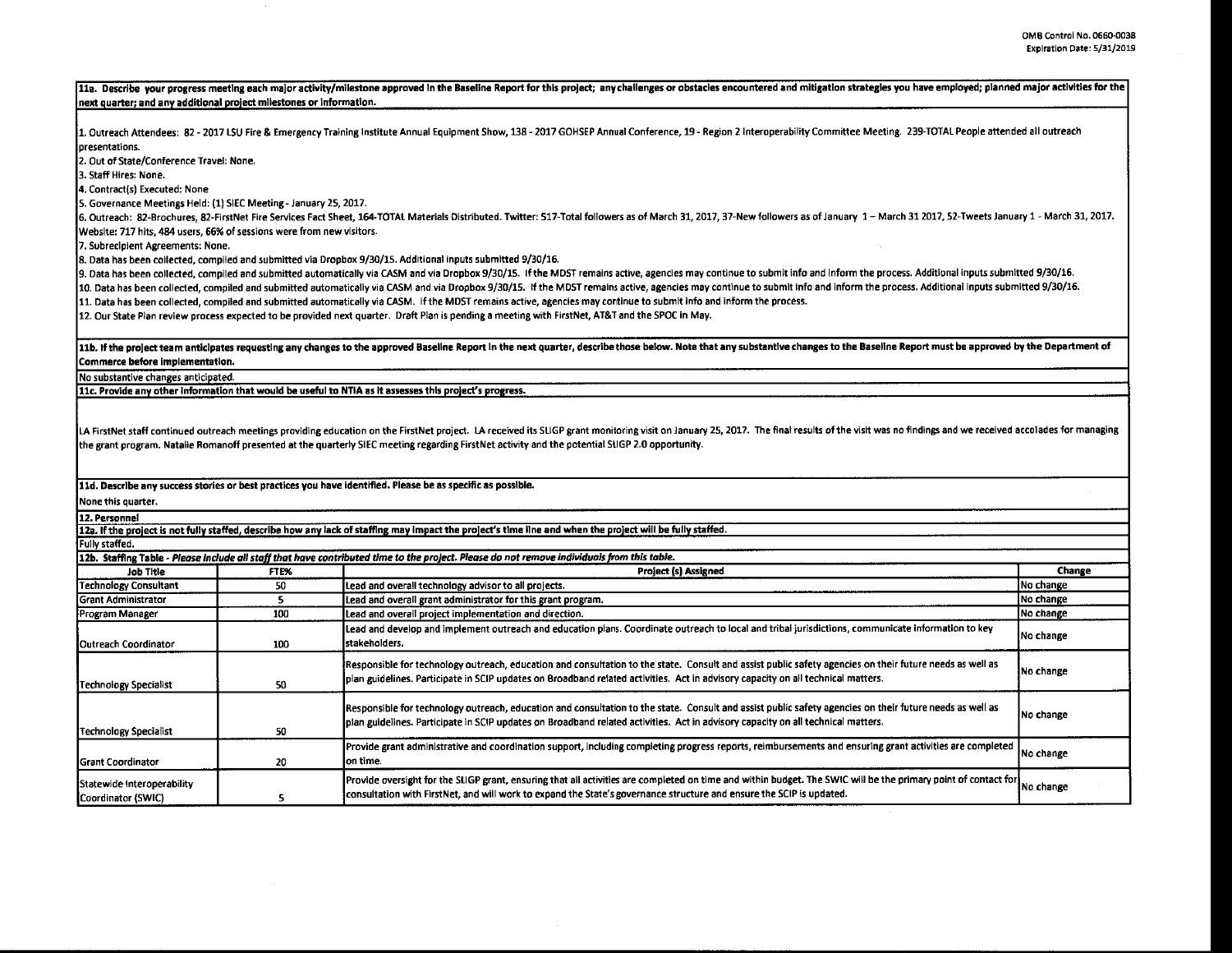| next quarter; and any additional project milestones or information.   |                                                                                                                                  | 11a. Describe your progress meeting each major activity/milestone approved in the Baseline Report for this project; any challenges or obstacles encountered and mitigation strategies you have employed; planned major activit |           |  |
|-----------------------------------------------------------------------|----------------------------------------------------------------------------------------------------------------------------------|--------------------------------------------------------------------------------------------------------------------------------------------------------------------------------------------------------------------------------|-----------|--|
| presentations.                                                        |                                                                                                                                  | 1. Outreach Attendees: 82 - 2017 LSU Fire & Emergency Training Institute Annual Equipment Show, 138 - 2017 GOHSEP Annual Conference, 19 - Region 2 Interoperability Committee Meeting. 239-TOTAL People attended all outreach  |           |  |
| 2. Out of State/Conference Travel: None.                              |                                                                                                                                  |                                                                                                                                                                                                                                |           |  |
| 3. Staff Hires: None.                                                 |                                                                                                                                  |                                                                                                                                                                                                                                |           |  |
| 4. Contract(s) Executed: None                                         |                                                                                                                                  |                                                                                                                                                                                                                                |           |  |
| 5. Governance Meetings Held: (1) SIEC Meeting - January 25, 2017.     |                                                                                                                                  |                                                                                                                                                                                                                                |           |  |
|                                                                       |                                                                                                                                  | 6. Outreach: 82-Brochures, 82-FirstNet Fire Services Fact Sheet, 164-TOTAL Materials Distributed. Twitter: 517-Total followers as of March 31, 2017, 37-New followers as of January 1 - March 31 2017, 52-Tweets January 1 - M |           |  |
| Website: 717 hits, 484 users, 66% of sessions were from new visitors. |                                                                                                                                  |                                                                                                                                                                                                                                |           |  |
| 7. Subrecipient Agreements: None.                                     |                                                                                                                                  |                                                                                                                                                                                                                                |           |  |
|                                                                       |                                                                                                                                  | 8. Data has been collected, compiled and submitted via Dropbox 9/30/15. Additional inputs submitted 9/30/16.                                                                                                                   |           |  |
|                                                                       |                                                                                                                                  | 9. Data has been collected, compiled and submitted automatically via CASM and via Dropbox 9/30/15. If the MDST remains active, agencies may continue to submit info and inform the process. Additional inputs submitted 9/30/1 |           |  |
|                                                                       |                                                                                                                                  | 10. Data has been collected, compiled and submitted automatically via CASM and via Dropbox 9/30/15. If the MDST remains active, agencies may continue to submit info and inform the process. Additional inputs submitted 9/30/ |           |  |
|                                                                       |                                                                                                                                  | 11. Data has been collected, compiled and submitted automatically via CASM. If the MDST remains active, agencies may continue to submit info and inform the process.                                                           |           |  |
|                                                                       |                                                                                                                                  | 12. Our State Plan review process expected to be provided next quarter. Draft Plan is pending a meeting with FirstNet, AT&T and the SPOC in May.                                                                               |           |  |
|                                                                       |                                                                                                                                  | 11b. If the project team anticipates requesting any changes to the approved Baseline Report in the next quarter, describe those below. Note that any substantive changes to the Baseline Report must be approved by the Depart |           |  |
| Commerce before implementation.                                       |                                                                                                                                  |                                                                                                                                                                                                                                |           |  |
| No substantive changes anticipated.                                   |                                                                                                                                  |                                                                                                                                                                                                                                |           |  |
|                                                                       |                                                                                                                                  | 11c. Provide any other information that would be useful to NTIA as it assesses this project's progress.                                                                                                                        |           |  |
|                                                                       |                                                                                                                                  |                                                                                                                                                                                                                                |           |  |
|                                                                       |                                                                                                                                  |                                                                                                                                                                                                                                |           |  |
|                                                                       |                                                                                                                                  | LA FirstNet staff continued outreach meetings providing education on the FirstNet project. LA received its SLIGP grant monitoring visit on January 25, 2017. The final results of the visit was no findings and we received ac |           |  |
|                                                                       |                                                                                                                                  | the grant program. Natalie Romanoff presented at the quarterly SIEC meeting regarding FirstNet activity and the potential SLIGP 2.0 opportunity.                                                                               |           |  |
|                                                                       |                                                                                                                                  |                                                                                                                                                                                                                                |           |  |
|                                                                       |                                                                                                                                  | 11d. Describe any success stories or best practices you have identified. Please be as specific as possible.                                                                                                                    |           |  |
| None this quarter.                                                    |                                                                                                                                  |                                                                                                                                                                                                                                |           |  |
| 12. Personnel                                                         |                                                                                                                                  |                                                                                                                                                                                                                                |           |  |
|                                                                       |                                                                                                                                  | 12a. If the project is not fully staffed, describe how any lack of staffing may impact the project's time line and when the project will be fully staffed.                                                                     |           |  |
| Fully staffed.                                                        |                                                                                                                                  |                                                                                                                                                                                                                                |           |  |
|                                                                       |                                                                                                                                  | 12b. Staffing Table - Please include all staff that have contributed time to the project. Please do not remove individuals from this table.                                                                                    |           |  |
| <b>Job Title</b>                                                      | FTE%                                                                                                                             | <b>Project (s) Assigned</b>                                                                                                                                                                                                    | Change    |  |
| <b>Technology Consultant</b>                                          | 50                                                                                                                               | Lead and overall technology advisor to all projects.                                                                                                                                                                           | No change |  |
| <b>Grant Administrator</b>                                            | 5                                                                                                                                | Lead and overall grant administrator for this grant program.                                                                                                                                                                   | No change |  |
| Program Manager                                                       | 100                                                                                                                              | Lead and overall project implementation and direction.                                                                                                                                                                         | No change |  |
|                                                                       |                                                                                                                                  | Lead and develop and implement outreach and education plans. Coordinate outreach to local and tribal jurisdictions, communicate information to key                                                                             | No change |  |
| Outreach Coordinator                                                  | 100                                                                                                                              | stakeholders.                                                                                                                                                                                                                  |           |  |
|                                                                       |                                                                                                                                  | Responsible for technology outreach, education and consultation to the state. Consult and assist public safety agencies on their future needs as well as                                                                       | No change |  |
| Technology Specialist                                                 | 50                                                                                                                               | plan guidelines. Participate in SCIP updates on Broadband related activities. Act in advisory capacity on all technical matters.                                                                                               |           |  |
|                                                                       |                                                                                                                                  |                                                                                                                                                                                                                                |           |  |
|                                                                       |                                                                                                                                  | Responsible for technology outreach, education and consultation to the state. Consult and assist public safety agencies on their future needs as well as                                                                       | No change |  |
|                                                                       | plan guidelines. Participate in SCIP updates on Broadband related activities. Act in advisory capacity on all technical matters. |                                                                                                                                                                                                                                |           |  |
| <b>Technology Specialist</b>                                          | 50                                                                                                                               |                                                                                                                                                                                                                                |           |  |
|                                                                       |                                                                                                                                  | Provide grant administrative and coordination support, including completing progress reports, reimbursements and ensuring grant activities are completed                                                                       | No change |  |
| <b>Grant Coordinator</b>                                              | 20                                                                                                                               | lon time.                                                                                                                                                                                                                      |           |  |
| Statewide Interoperability                                            |                                                                                                                                  | Provide oversight for the SLIGP grant, ensuring that all activities are completed on time and within budget. The SWIC will be the primary point of contact for No change                                                       |           |  |
| Coordinator (SWIC)                                                    | 5                                                                                                                                | consultation with FirstNet, and will work to expand the State's governance structure and ensure the SCIP is updated.                                                                                                           |           |  |
|                                                                       |                                                                                                                                  |                                                                                                                                                                                                                                |           |  |